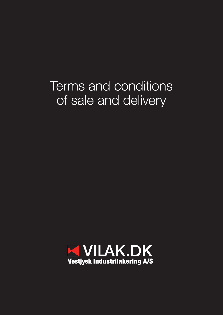# Terms and conditions of sale and delivery